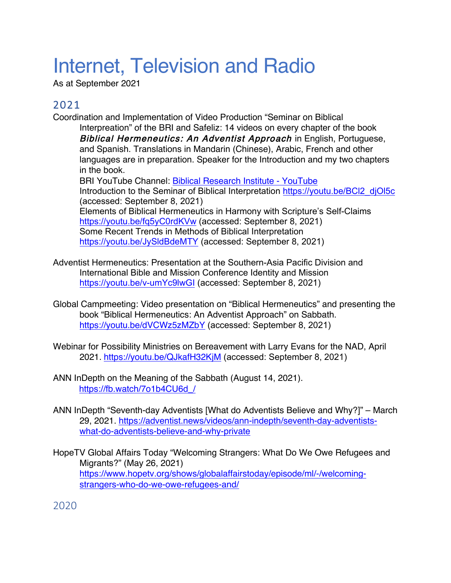# Internet, Television and Radio

As at September 2021

## 2021

Coordination and Implementation of Video Production "Seminar on Biblical

Interpreation" of the BRI and Safeliz: 14 videos on every chapter of the book Biblical Hermeneutics: An Adventist Approach in English, Portuguese, and Spanish. Translations in Mandarin (Chinese), Arabic, French and other languages are in preparation. Speaker for the Introduction and my two chapters in the book.

BRI YouTube Channel: Biblical Research Institute - YouTube Introduction to the Seminar of Biblical Interpretation https://youtu.be/BCl2\_djOl5c (accessed: September 8, 2021) Elements of Biblical Hermeneutics in Harmony with Scripture's Self-Claims https://youtu.be/fq5yC0rdKVw (accessed: September 8, 2021) Some Recent Trends in Methods of Biblical Interpretation https://youtu.be/JySldBdeMTY (accessed: September 8, 2021)

- Adventist Hermeneutics: Presentation at the Southern-Asia Pacific Division and International Bible and Mission Conference Identity and Mission https://youtu.be/v-umYc9lwGI (accessed: September 8, 2021)
- Global Campmeeting: Video presentation on "Biblical Hermeneutics" and presenting the book "Biblical Hermeneutics: An Adventist Approach" on Sabbath. https://youtu.be/dVCWz5zMZbY (accessed: September 8, 2021)
- Webinar for Possibility Ministries on Bereavement with Larry Evans for the NAD, April 2021. https://youtu.be/QJkafH32KjM (accessed: September 8, 2021)
- ANN InDepth on the Meaning of the Sabbath (August 14, 2021). https://fb.watch/7o1b4CU6d /
- ANN InDepth "Seventh-day Adventists [What do Adventists Believe and Why?]" March 29, 2021. https://adventist.news/videos/ann-indepth/seventh-day-adventistswhat-do-adventists-believe-and-why-private
- HopeTV Global Affairs Today "Welcoming Strangers: What Do We Owe Refugees and Migrants?" (May 26, 2021) https://www.hopetv.org/shows/globalaffairstoday/episode/ml/-/welcomingstrangers-who-do-we-owe-refugees-and/

2020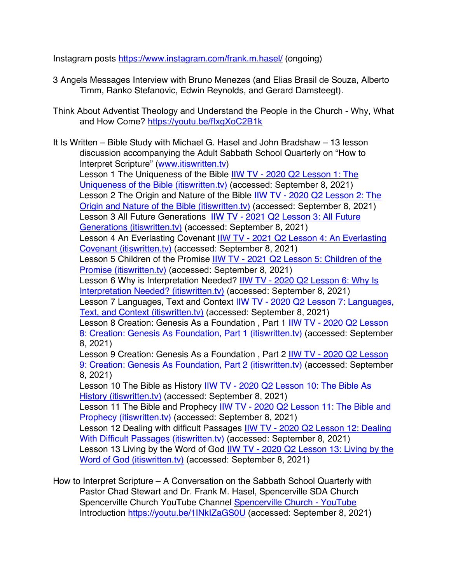Instagram posts https://www.instagram.com/frank.m.hasel/ (ongoing)

- 3 Angels Messages Interview with Bruno Menezes (and Elias Brasil de Souza, Alberto Timm, Ranko Stefanovic, Edwin Reynolds, and Gerard Damsteegt).
- Think About Adventist Theology and Understand the People in the Church Why, What and How Come? https://youtu.be/fIxgXoC2B1k

It Is Written – Bible Study with Michael G. Hasel and John Bradshaw – 13 lesson discussion accompanying the Adult Sabbath School Quarterly on "How to Interpret Scripture" (www.itiswritten.tv) Lesson 1 The Uniqueness of the Bible IIW TV - 2020 Q2 Lesson 1: The Uniqueness of the Bible (itiswritten.tv) (accessed: September 8, 2021) Lesson 2 The Origin and Nature of the Bible IIW TV - 2020 Q2 Lesson 2: The Origin and Nature of the Bible (itiswritten.tv) (accessed: September 8, 2021) Lesson 3 All Future Generations IIW TV - 2021 Q2 Lesson 3: All Future Generations (itiswritten.tv) (accessed: September 8, 2021) Lesson 4 An Everlasting Covenant IIW TV - 2021 Q2 Lesson 4: An Everlasting Covenant (itiswritten.tv) (accessed: September 8, 2021) Lesson 5 Children of the Promise IIW TV - 2021 Q2 Lesson 5: Children of the Promise (itiswritten.tv) (accessed: September 8, 2021) Lesson 6 Why is Interpretation Needed? IIW TV - 2020 Q2 Lesson 6: Why Is Interpretation Needed? (itiswritten.tv) (accessed: September 8, 2021) Lesson 7 Languages, Text and Context IIW TV - 2020 Q2 Lesson 7: Languages, Text, and Context (itiswritten.tv) (accessed: September 8, 2021) Lesson 8 Creation: Genesis As a Foundation, Part 1 IIW TV - 2020 Q2 Lesson 8: Creation: Genesis As Foundation, Part 1 (itiswritten.tv) (accessed: September 8, 2021) Lesson 9 Creation: Genesis As a Foundation , Part 2 IIW TV - 2020 Q2 Lesson 9: Creation: Genesis As Foundation, Part 2 (itiswritten.tv) (accessed: September 8, 2021) Lesson 10 The Bible as History IIW TV - 2020 Q2 Lesson 10: The Bible As History (itiswritten.tv) (accessed: September 8, 2021) Lesson 11 The Bible and Prophecy IIW TV - 2020 Q2 Lesson 11: The Bible and Prophecy (itiswritten.tv) (accessed: September 8, 2021) Lesson 12 Dealing with difficult Passages **IIW TV - 2020 Q2 Lesson 12: Dealing** With Difficult Passages (itiswritten.tv) (accessed: September 8, 2021) Lesson 13 Living by the Word of God IIW TV - 2020 Q2 Lesson 13: Living by the Word of God (itiswritten.tv) (accessed: September 8, 2021)

How to Interpret Scripture – A Conversation on the Sabbath School Quarterly with Pastor Chad Stewart and Dr. Frank M. Hasel, Spencerville SDA Church Spencerville Church YouTube Channel Spencerville Church - YouTube Introduction https://youtu.be/1INkIZaGS0U (accessed: September 8, 2021)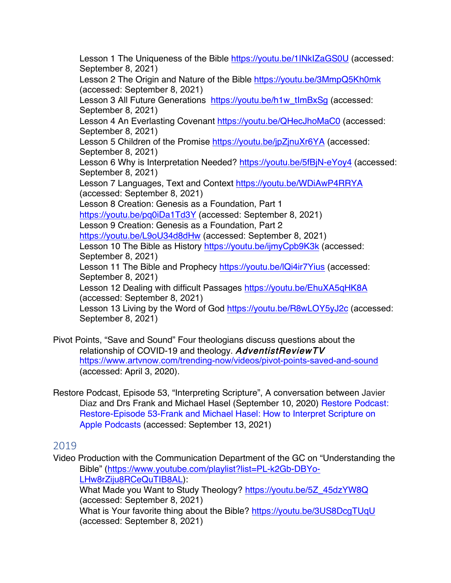Lesson 1 The Uniqueness of the Bible https://youtu.be/1INkIZaGS0U (accessed: September 8, 2021)

Lesson 2 The Origin and Nature of the Bible https://youtu.be/3MmpQ5Kh0mk (accessed: September 8, 2021)

Lesson 3 All Future Generations https://youtu.be/h1w\_tImBxSg (accessed: September 8, 2021)

Lesson 4 An Everlasting Covenant https://youtu.be/QHecJhoMaC0 (accessed: September 8, 2021)

Lesson 5 Children of the Promise https://youtu.be/jpZjnuXr6YA (accessed: September 8, 2021)

Lesson 6 Why is Interpretation Needed? https://youtu.be/5fBjN-eYoy4 (accessed: September 8, 2021)

Lesson 7 Languages, Text and Context https://youtu.be/WDiAwP4RRYA (accessed: September 8, 2021)

Lesson 8 Creation: Genesis as a Foundation, Part 1

https://youtu.be/pq0iDa1Td3Y (accessed: September 8, 2021)

Lesson 9 Creation: Genesis as a Foundation, Part 2

https://youtu.be/L9oU34d8dHw (accessed: September 8, 2021)

Lesson 10 The Bible as History https://youtu.be/ijmyCpb9K3k (accessed: September 8, 2021)

Lesson 11 The Bible and Prophecy https://youtu.be/lQi4ir7Yius (accessed: September 8, 2021)

Lesson 12 Dealing with difficult Passages https://youtu.be/EhuXA5qHK8A (accessed: September 8, 2021)

Lesson 13 Living by the Word of God https://youtu.be/R8wLOY5yJ2c (accessed: September 8, 2021)

- Pivot Points, "Save and Sound" Four theologians discuss questions about the relationship of COVID-19 and theology. AdventistReviewTV https://www.artvnow.com/trending-now/videos/pivot-points-saved-and-sound (accessed: April 3, 2020).
- Restore Podcast, Episode 53, "Interpreting Scripture", A conversation between Javier Diaz and Drs Frank and Michael Hasel (September 10, 2020) Restore Podcast: Restore-Episode 53-Frank and Michael Hasel: How to Interpret Scripture on Apple Podcasts (accessed: September 13, 2021)

#### 2019

Video Production with the Communication Department of the GC on "Understanding the Bible" (https://www.youtube.com/playlist?list=PL-k2Gb-DBYo-LHw8rZiju8RCeQuTIB8AL):

What Made you Want to Study Theology? https://youtu.be/5Z\_45dzYW8Q (accessed: September 8, 2021)

What is Your favorite thing about the Bible? https://youtu.be/3US8DcgTUqU (accessed: September 8, 2021)